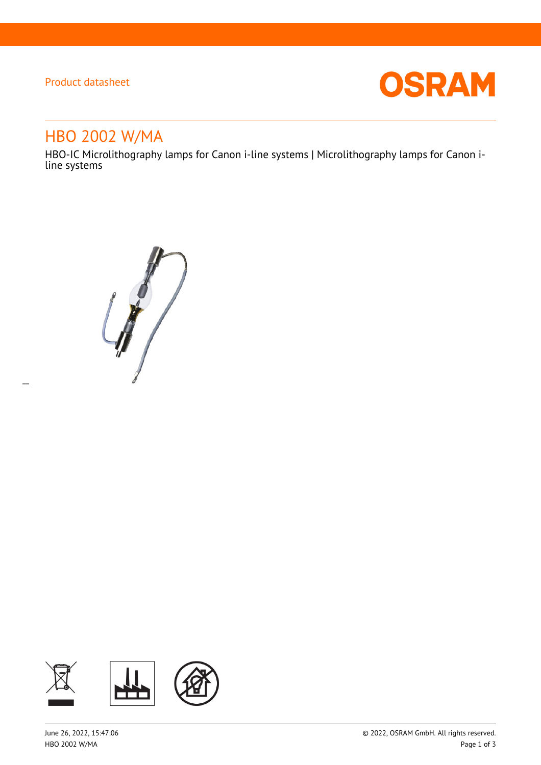## Product datasheet

 $\overline{a}$ 



# HBO 2002 W/MA

HBO-IC Microlithography lamps for Canon i-line systems | Microlithography lamps for Canon iline systems

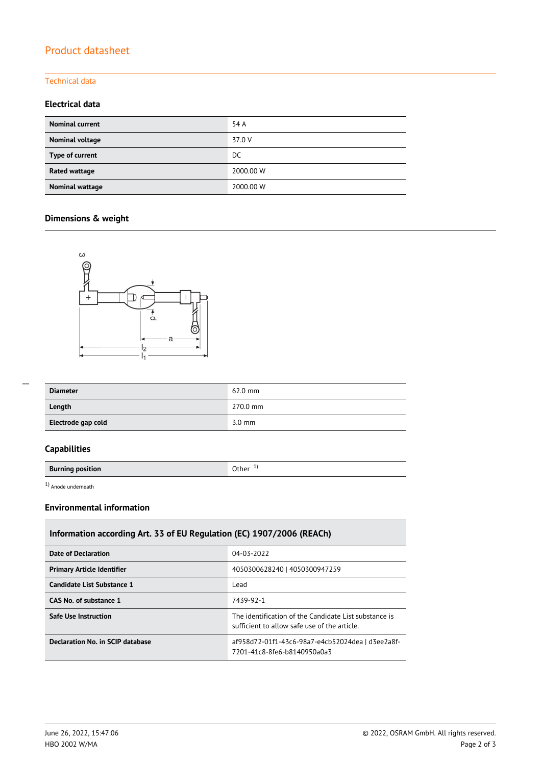## Product datasheet

#### Technical data

#### **Electrical data**

| <b>Nominal current</b> | 54 A      |
|------------------------|-----------|
| Nominal voltage        | 37.0 V    |
| Type of current        | DC        |
| <b>Rated wattage</b>   | 2000.00 W |
| Nominal wattage        | 2000.00 W |

## **Dimensions & weight**



| --- |  |  |
|-----|--|--|
|     |  |  |
|     |  |  |
|     |  |  |

| <b>Diameter</b>    | $62.0$ mm        |
|--------------------|------------------|
| Length             | 270.0 mm         |
| Electrode gap cold | $3.0 \text{ mm}$ |

## **Capabilities**

**Burning position Burning position** 

1) Anode underneath

### **Environmental information**

| Information according Art. 33 of EU Regulation (EC) 1907/2006 (REACh) |                                                                                                       |  |  |  |
|-----------------------------------------------------------------------|-------------------------------------------------------------------------------------------------------|--|--|--|
| Date of Declaration                                                   | 04-03-2022                                                                                            |  |  |  |
| <b>Primary Article Identifier</b>                                     | 4050300628240   4050300947259                                                                         |  |  |  |
| Candidate List Substance 1                                            | Lead                                                                                                  |  |  |  |
| CAS No. of substance 1                                                | 7439-92-1                                                                                             |  |  |  |
| Safe Use Instruction                                                  | The identification of the Candidate List substance is<br>sufficient to allow safe use of the article. |  |  |  |
| Declaration No. in SCIP database                                      | af958d72-01f1-43c6-98a7-e4cb52024dea   d3ee2a8f-<br>7201-41c8-8fe6-b8140950a0a3                       |  |  |  |